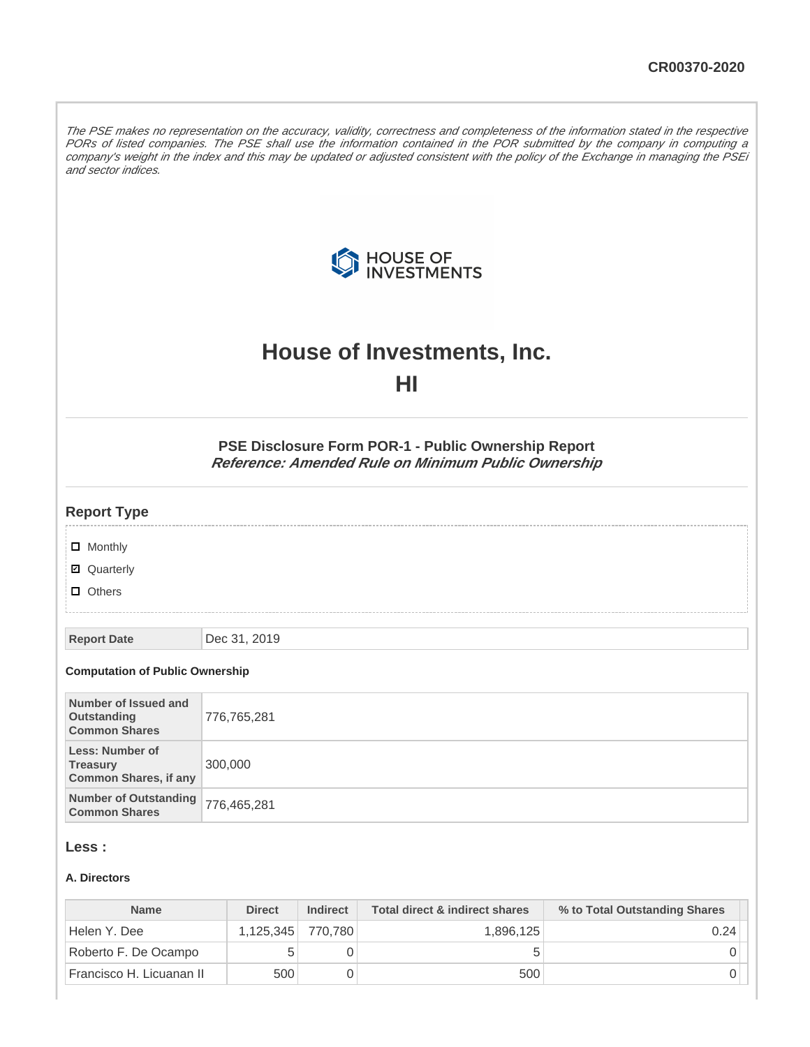The PSE makes no representation on the accuracy, validity, correctness and completeness of the information stated in the respective PORs of listed companies. The PSE shall use the information contained in the POR submitted by the company in computing a company's weight in the index and this may be updated or adjusted consistent with the policy of the Exchange in managing the PSEi and sector indices.



# **House of Investments, Inc. HI**

**PSE Disclosure Form POR-1 - Public Ownership Report Reference: Amended Rule on Minimum Public Ownership**

#### **Report Type**

| $\Box$ Monthly |
|----------------|
|                |

**Ø** Quarterly

**D** Others

**Report Date** Dec 31, 2019

#### **Computation of Public Ownership**

| Number of Issued and<br>Outstanding<br><b>Common Shares</b>               | 776,765,281 |
|---------------------------------------------------------------------------|-------------|
| <b>Less: Number of</b><br><b>Treasury</b><br><b>Common Shares, if any</b> | 300,000     |
| Number of Outstanding 776,465,281<br><b>Common Shares</b>                 |             |

#### **Less :**

#### **A. Directors**

| <b>Name</b>              | <b>Direct</b> | <b>Indirect</b> | Total direct & indirect shares | % to Total Outstanding Shares |
|--------------------------|---------------|-----------------|--------------------------------|-------------------------------|
| Helen Y. Dee             | 1.125.345     | 770.780         | 1.896.125                      | 0.24                          |
| Roberto F. De Ocampo     |               |                 |                                |                               |
| Francisco H. Licuanan II | 500           |                 | 500                            |                               |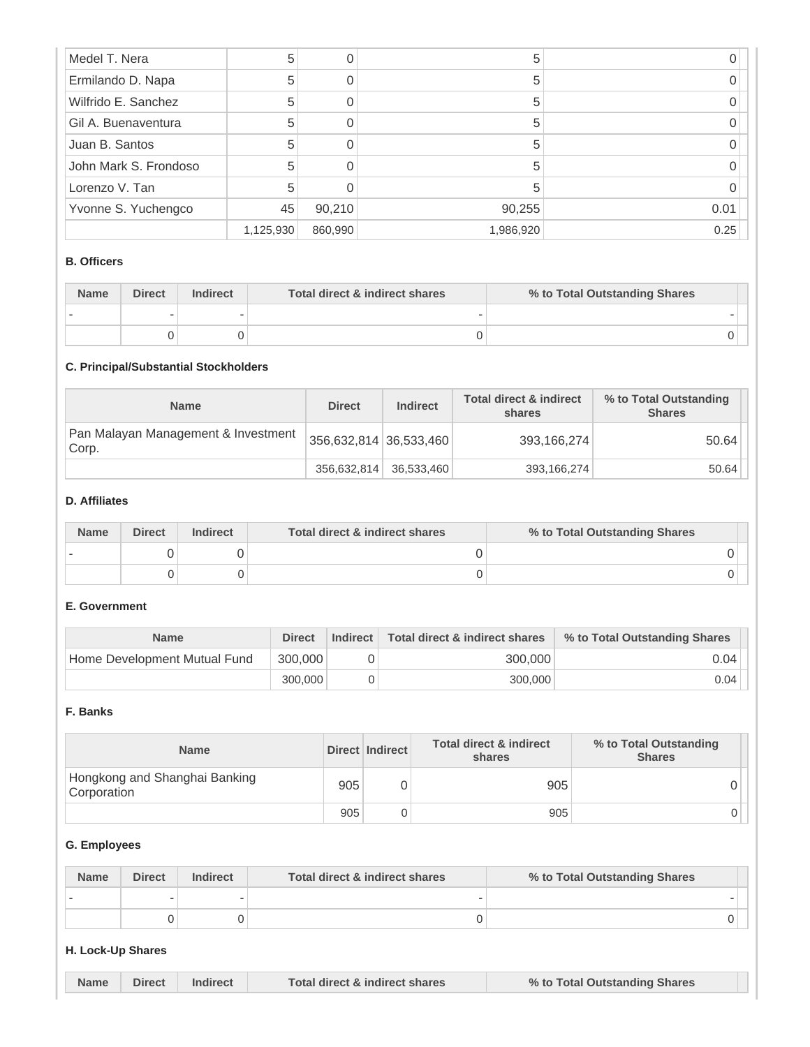| Medel T. Nera         | 5         | 0       | 5         |      |
|-----------------------|-----------|---------|-----------|------|
| Ermilando D. Napa     | 5         |         | b         |      |
| Wilfrido E. Sanchez   | 5         |         | 5         |      |
| Gil A. Buenaventura   | 5         |         | 5         |      |
| Juan B. Santos        | 5         |         | 5         |      |
| John Mark S. Frondoso | 5         |         | 5         |      |
| Lorenzo V. Tan        | 5         |         |           |      |
| Yvonne S. Yuchengco   | 45        | 90,210  | 90,255    | 0.01 |
|                       | 1,125,930 | 860,990 | 1,986,920 | 0.25 |

#### **B. Officers**

| <b>Name</b> | <b>Direct</b> | <b>Indirect</b> | Total direct & indirect shares | % to Total Outstanding Shares |
|-------------|---------------|-----------------|--------------------------------|-------------------------------|
|             |               |                 |                                |                               |
|             |               |                 |                                |                               |

# **C. Principal/Substantial Stockholders**

| <b>Name</b>                                  | <b>Direct</b>          | <b>Indirect</b> | <b>Total direct &amp; indirect</b><br>shares | % to Total Outstanding<br><b>Shares</b> |
|----------------------------------------------|------------------------|-----------------|----------------------------------------------|-----------------------------------------|
| Pan Malayan Management & Investment<br>Corp. | 356,632,814 36,533,460 |                 | 393,166,274                                  | 50.64                                   |
|                                              | 356.632.814            | 36,533,460      | 393,166,274                                  | 50.64                                   |

#### **D. Affiliates**

| <b>Name</b> | <b>Direct</b> | <b>Indirect</b> | Total direct & indirect shares | % to Total Outstanding Shares |
|-------------|---------------|-----------------|--------------------------------|-------------------------------|
|             |               |                 |                                |                               |
|             |               |                 |                                |                               |

#### **E. Government**

| <b>Name</b>                  | <b>Direct</b> | Indirect | Total direct & indirect shares | % to Total Outstanding Shares |
|------------------------------|---------------|----------|--------------------------------|-------------------------------|
| Home Development Mutual Fund | 300,000       |          | 300.000                        | 0.04                          |
|                              | 300,000       |          | 300,000                        | 0.04                          |

#### **F. Banks**

| <b>Name</b>                                  |     | Direct Indirect | Total direct & indirect<br>shares | % to Total Outstanding<br><b>Shares</b> |
|----------------------------------------------|-----|-----------------|-----------------------------------|-----------------------------------------|
| Hongkong and Shanghai Banking<br>Corporation | 905 |                 | 905                               |                                         |
|                                              | 905 |                 | 905                               |                                         |

### **G. Employees**

| <b>Name</b> | <b>Direct</b> | Indirect | Total direct & indirect shares | % to Total Outstanding Shares |
|-------------|---------------|----------|--------------------------------|-------------------------------|
|             |               |          |                                |                               |
|             |               |          |                                |                               |

## **H. Lock-Up Shares**

| <b>Name</b> | Direct | Indirect | Total direct & indirect shares | % to Total Outstanding Shares |
|-------------|--------|----------|--------------------------------|-------------------------------|